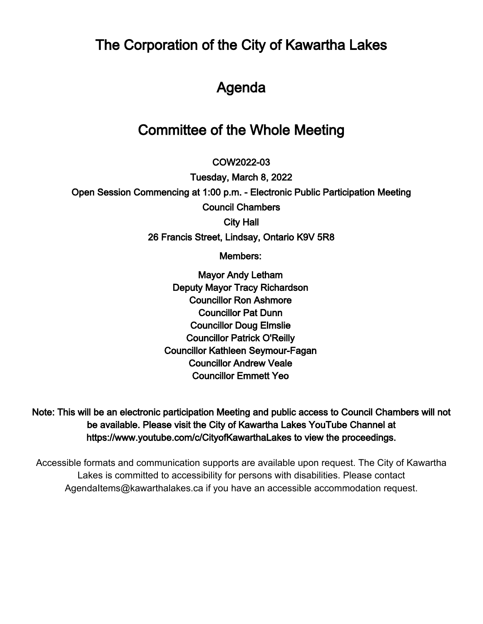The Corporation of the City of Kawartha Lakes

# Agenda

# Committee of the Whole Meeting

 $\overline{\phantom{a}}$ COW2022-03

Tuesday, March 8, 2022 Open Session Commencing at 1:00 p.m. - Electronic Public Participation Meeting Council Chambers City Hall 26 Francis Street, Lindsay, Ontario K9V 5R8

Members:

Mayor Andy Letham Deputy Mayor Tracy Richardson Councillor Ron Ashmore Councillor Pat Dunn Councillor Doug Elmslie Councillor Patrick O'Reilly Councillor Kathleen Seymour-Fagan Councillor Andrew Veale Councillor Emmett Yeo

Note: This will be an electronic participation Meeting and public access to Council Chambers will not be available. Please visit the City of Kawartha Lakes YouTube Channel at https://www.youtube.com/c/CityofKawarthaLakes to view the proceedings.

Accessible formats and communication supports are available upon request. The City of Kawartha Lakes is committed to accessibility for persons with disabilities. Please contact AgendaItems@kawarthalakes.ca if you have an accessible accommodation request.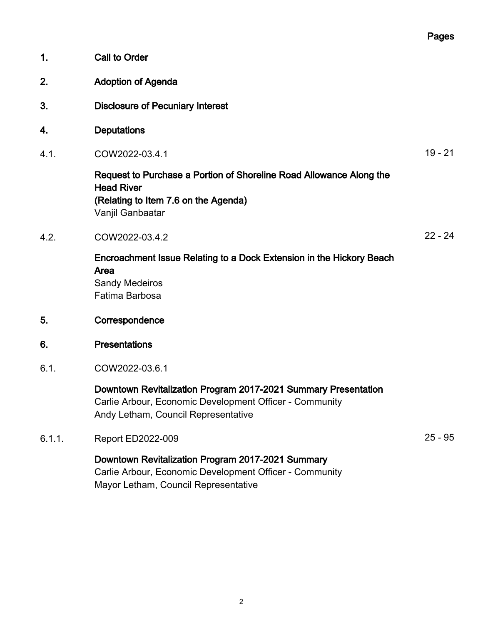|        |                                                                                                                                                                  | Pages     |
|--------|------------------------------------------------------------------------------------------------------------------------------------------------------------------|-----------|
| 1.     | <b>Call to Order</b>                                                                                                                                             |           |
| 2.     | <b>Adoption of Agenda</b>                                                                                                                                        |           |
| 3.     | <b>Disclosure of Pecuniary Interest</b>                                                                                                                          |           |
| 4.     | <b>Deputations</b>                                                                                                                                               |           |
| 4.1.   | COW2022-03.4.1                                                                                                                                                   | $19 - 21$ |
|        | Request to Purchase a Portion of Shoreline Road Allowance Along the<br><b>Head River</b><br>(Relating to Item 7.6 on the Agenda)<br>Vanjil Ganbaatar             |           |
| 4.2.   | COW2022-03.4.2                                                                                                                                                   | $22 - 24$ |
|        | Encroachment Issue Relating to a Dock Extension in the Hickory Beach<br>Area<br><b>Sandy Medeiros</b><br>Fatima Barbosa                                          |           |
| 5.     | Correspondence                                                                                                                                                   |           |
| 6.     | <b>Presentations</b>                                                                                                                                             |           |
| 6.1.   | COW2022-03.6.1                                                                                                                                                   |           |
|        | Downtown Revitalization Program 2017-2021 Summary Presentation<br>Carlie Arbour, Economic Development Officer - Community<br>Andy Letham, Council Representative |           |
| 6.1.1. | <b>Report ED2022-009</b>                                                                                                                                         | $25 - 95$ |
|        | Downtown Revitalization Program 2017-2021 Summary<br>Carlie Arbour, Economic Development Officer - Community                                                     |           |

Mayor Letham, Council Representative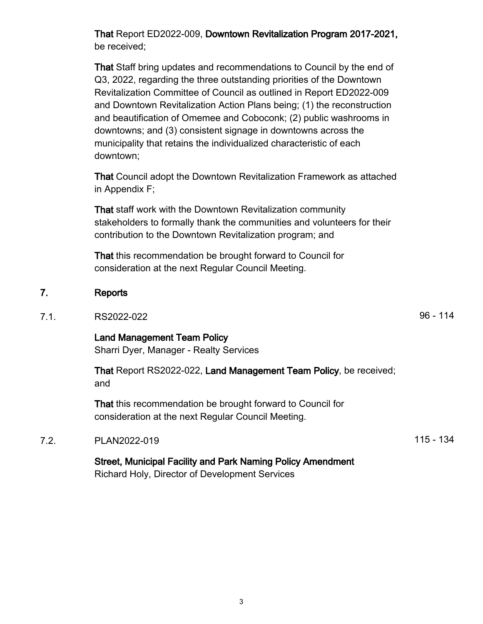3

That Report ED2022-009, Downtown Revitalization Program 2017-2021, be received;

That Staff bring updates and recommendations to Council by the end of Q3, 2022, regarding the three outstanding priorities of the Downtown Revitalization Committee of Council as outlined in Report ED2022-009 and Downtown Revitalization Action Plans being; (1) the reconstruction and beautification of Omemee and Coboconk; (2) public washrooms in downtowns; and (3) consistent signage in downtowns across the municipality that retains the individualized characteristic of each downtown;

That Council adopt the Downtown Revitalization Framework as attached in Appendix F;

That staff work with the Downtown Revitalization community stakeholders to formally thank the communities and volunteers for their contribution to the Downtown Revitalization program; and

That this recommendation be brought forward to Council for consideration at the next Regular Council Meeting.

#### 7. Reports

## 7.1. RS2022-022 **RS2022-022**

Land Management Team Policy Sharri Dyer, Manager - Realty Services

That Report RS2022-022, Land Management Team Policy, be received; and

That this recommendation be brought forward to Council for consideration at the next Regular Council Meeting.

#### 7.2. PLAN2022-019 115 - 134

Street, Municipal Facility and Park Naming Policy Amendment Richard Holy, Director of Development Services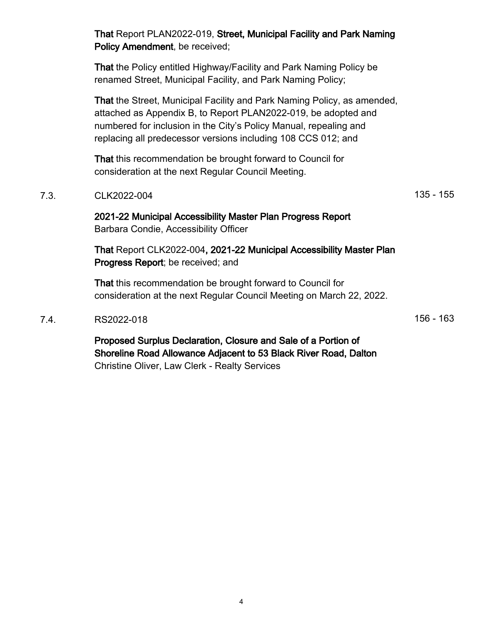Policy Amendment, be received; That the Policy entitled Highway/Facility and Park Naming Policy be renamed Street, Municipal Facility, and Park Naming Policy; That the Street, Municipal Facility and Park Naming Policy, as amended, attached as Appendix B, to Report PLAN2022-019, be adopted and numbered for inclusion in the City's Policy Manual, repealing and replacing all predecessor versions including 108 CCS 012; and That this recommendation be brought forward to Council for consideration at the next Regular Council Meeting. 7.3. CLK2022-004 2.3. CLK2022-004 2021-22 Municipal Accessibility Master Plan Progress Report Barbara Condie, Accessibility Officer That Report CLK2022-004, 2021-22 Municipal Accessibility Master Plan Progress Report; be received; and That this recommendation be brought forward to Council for consideration at the next Regular Council Meeting on March 22, 2022. 7.4. RS2022-018 **156 - 163** 

That Report PLAN2022-019, Street, Municipal Facility and Park Naming

Proposed Surplus Declaration, Closure and Sale of a Portion of Shoreline Road Allowance Adjacent to 53 Black River Road, Dalton Christine Oliver, Law Clerk - Realty Services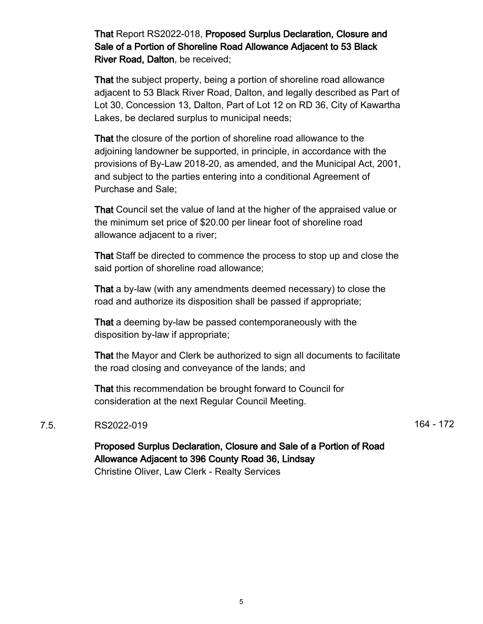That Report RS2022-018, Proposed Surplus Declaration, Closure and Sale of a Portion of Shoreline Road Allowance Adjacent to 53 Black River Road, Dalton, be received;

That the subject property, being a portion of shoreline road allowance adjacent to 53 Black River Road, Dalton, and legally described as Part of Lot 30, Concession 13, Dalton, Part of Lot 12 on RD 36, City of Kawartha Lakes, be declared surplus to municipal needs;

That the closure of the portion of shoreline road allowance to the adjoining landowner be supported, in principle, in accordance with the provisions of By-Law 2018-20, as amended, and the Municipal Act, 2001, and subject to the parties entering into a conditional Agreement of Purchase and Sale;

That Council set the value of land at the higher of the appraised value or the minimum set price of \$20.00 per linear foot of shoreline road allowance adjacent to a river;

That Staff be directed to commence the process to stop up and close the said portion of shoreline road allowance;

That a by-law (with any amendments deemed necessary) to close the road and authorize its disposition shall be passed if appropriate;

That a deeming by-law be passed contemporaneously with the disposition by-law if appropriate;

That the Mayor and Clerk be authorized to sign all documents to facilitate the road closing and conveyance of the lands; and

That this recommendation be brought forward to Council for consideration at the next Regular Council Meeting.

#### 7.5. RS2022-019 **164 - 172**

Proposed Surplus Declaration, Closure and Sale of a Portion of Road Allowance Adjacent to 396 County Road 36, Lindsay Christine Oliver, Law Clerk - Realty Services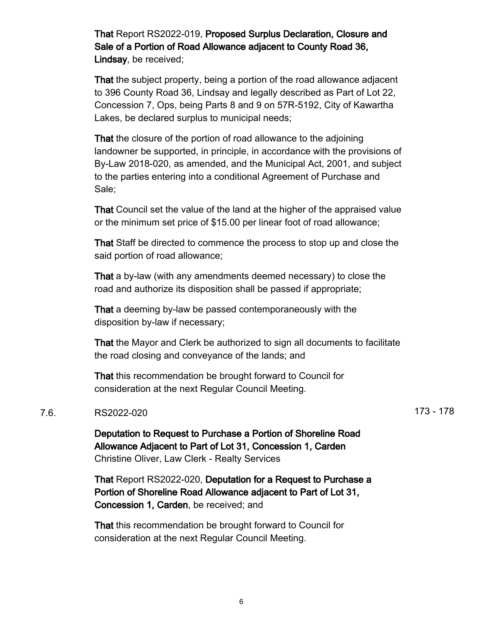That Report RS2022-019, Proposed Surplus Declaration, Closure and Sale of a Portion of Road Allowance adjacent to County Road 36, Lindsay, be received;

That the subject property, being a portion of the road allowance adjacent to 396 County Road 36, Lindsay and legally described as Part of Lot 22, Concession 7, Ops, being Parts 8 and 9 on 57R-5192, City of Kawartha Lakes, be declared surplus to municipal needs;

That the closure of the portion of road allowance to the adjoining landowner be supported, in principle, in accordance with the provisions of By-Law 2018-020, as amended, and the Municipal Act, 2001, and subject to the parties entering into a conditional Agreement of Purchase and Sale;

That Council set the value of the land at the higher of the appraised value or the minimum set price of \$15.00 per linear foot of road allowance;

That Staff be directed to commence the process to stop up and close the said portion of road allowance;

That a by-law (with any amendments deemed necessary) to close the road and authorize its disposition shall be passed if appropriate;

That a deeming by-law be passed contemporaneously with the disposition by-law if necessary;

That the Mayor and Clerk be authorized to sign all documents to facilitate the road closing and conveyance of the lands; and

That this recommendation be brought forward to Council for consideration at the next Regular Council Meeting.

#### 7.6. RS2022-020 173 - 178

Deputation to Request to Purchase a Portion of Shoreline Road Allowance Adjacent to Part of Lot 31, Concession 1, Carden Christine Oliver, Law Clerk - Realty Services

That Report RS2022-020, Deputation for a Request to Purchase a Portion of Shoreline Road Allowance adjacent to Part of Lot 31, Concession 1, Carden, be received; and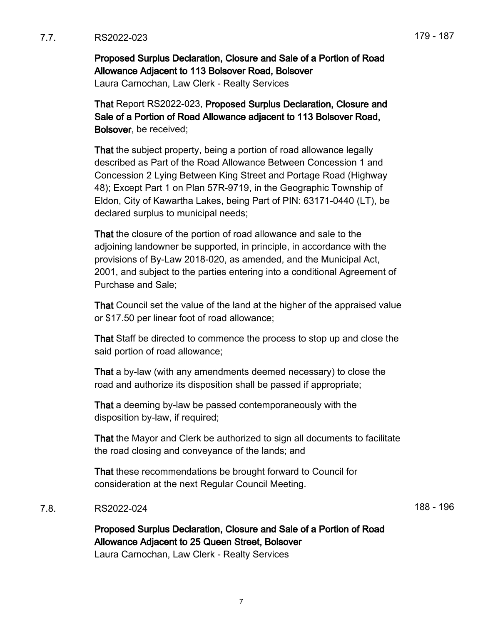7.7. RS2022-023 179 - 187

Proposed Surplus Declaration, Closure and Sale of a Portion of Road Allowance Adjacent to 113 Bolsover Road, Bolsover

Laura Carnochan, Law Clerk - Realty Services

That Report RS2022-023, Proposed Surplus Declaration, Closure and Sale of a Portion of Road Allowance adjacent to 113 Bolsover Road, Bolsover, be received;

That the subject property, being a portion of road allowance legally described as Part of the Road Allowance Between Concession 1 and Concession 2 Lying Between King Street and Portage Road (Highway 48); Except Part 1 on Plan 57R-9719, in the Geographic Township of Eldon, City of Kawartha Lakes, being Part of PIN: 63171-0440 (LT), be declared surplus to municipal needs;

That the closure of the portion of road allowance and sale to the adjoining landowner be supported, in principle, in accordance with the provisions of By-Law 2018-020, as amended, and the Municipal Act, 2001, and subject to the parties entering into a conditional Agreement of Purchase and Sale;

That Council set the value of the land at the higher of the appraised value or \$17.50 per linear foot of road allowance;

That Staff be directed to commence the process to stop up and close the said portion of road allowance;

That a by-law (with any amendments deemed necessary) to close the road and authorize its disposition shall be passed if appropriate;

That a deeming by-law be passed contemporaneously with the disposition by-law, if required;

That the Mayor and Clerk be authorized to sign all documents to facilitate the road closing and conveyance of the lands; and

That these recommendations be brought forward to Council for consideration at the next Regular Council Meeting.

#### 7.8. RS2022-024 188 - 196

Proposed Surplus Declaration, Closure and Sale of a Portion of Road Allowance Adjacent to 25 Queen Street, Bolsover Laura Carnochan, Law Clerk - Realty Services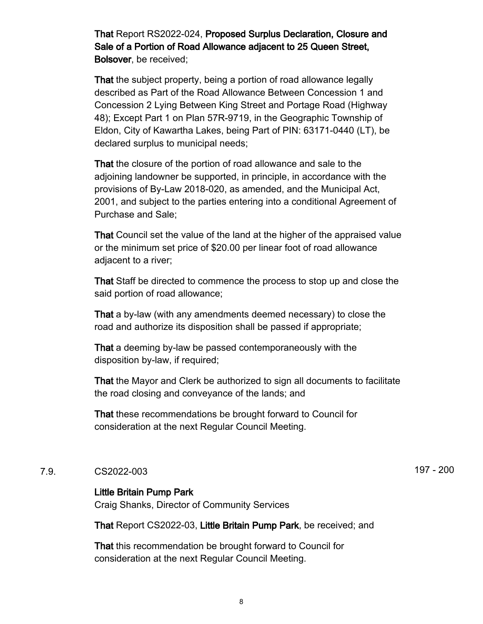That Report RS2022-024, Proposed Surplus Declaration, Closure and Sale of a Portion of Road Allowance adjacent to 25 Queen Street, Bolsover, be received;

That the subject property, being a portion of road allowance legally described as Part of the Road Allowance Between Concession 1 and Concession 2 Lying Between King Street and Portage Road (Highway 48); Except Part 1 on Plan 57R-9719, in the Geographic Township of Eldon, City of Kawartha Lakes, being Part of PIN: 63171-0440 (LT), be declared surplus to municipal needs;

That the closure of the portion of road allowance and sale to the adjoining landowner be supported, in principle, in accordance with the provisions of By-Law 2018-020, as amended, and the Municipal Act, 2001, and subject to the parties entering into a conditional Agreement of Purchase and Sale;

That Council set the value of the land at the higher of the appraised value or the minimum set price of \$20.00 per linear foot of road allowance adjacent to a river;

That Staff be directed to commence the process to stop up and close the said portion of road allowance;

That a by-law (with any amendments deemed necessary) to close the road and authorize its disposition shall be passed if appropriate;

That a deeming by-law be passed contemporaneously with the disposition by-law, if required;

That the Mayor and Clerk be authorized to sign all documents to facilitate the road closing and conveyance of the lands; and

That these recommendations be brought forward to Council for consideration at the next Regular Council Meeting.

#### 7.9. CS2022-003 197 - 200

#### Little Britain Pump Park

Craig Shanks, Director of Community Services

That Report CS2022-03, Little Britain Pump Park, be received; and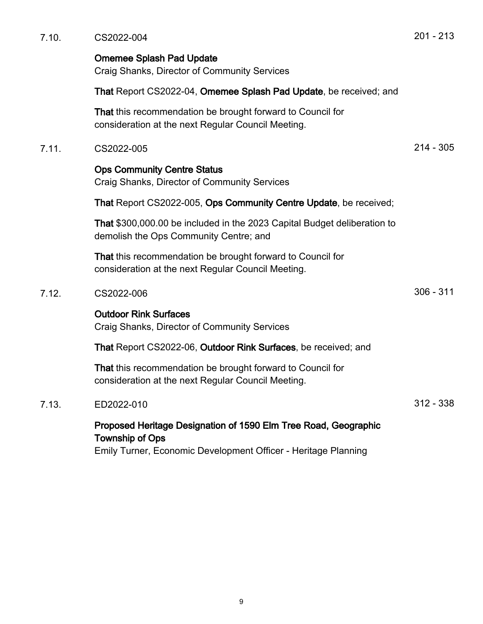7.10. CS2022-004 201 - 213 Omemee Splash Pad Update Craig Shanks, Director of Community Services That Report CS2022-04, Omemee Splash Pad Update, be received; and That this recommendation be brought forward to Council for consideration at the next Regular Council Meeting. 7.11. CS2022-005 214 - 305 Ops Community Centre Status Craig Shanks, Director of Community Services That Report CS2022-005, Ops Community Centre Update, be received; That \$300,000.00 be included in the 2023 Capital Budget deliberation to demolish the Ops Community Centre; and That this recommendation be brought forward to Council for consideration at the next Regular Council Meeting. 7.12. CS2022-006 306 - 311 Outdoor Rink Surfaces Craig Shanks, Director of Community Services That Report CS2022-06, Outdoor Rink Surfaces, be received; and That this recommendation be brought forward to Council for consideration at the next Regular Council Meeting. 7.13. ED2022-010 312 - 338 Proposed Heritage Designation of 1590 Elm Tree Road, Geographic Township of Ops Emily Turner, Economic Development Officer - Heritage Planning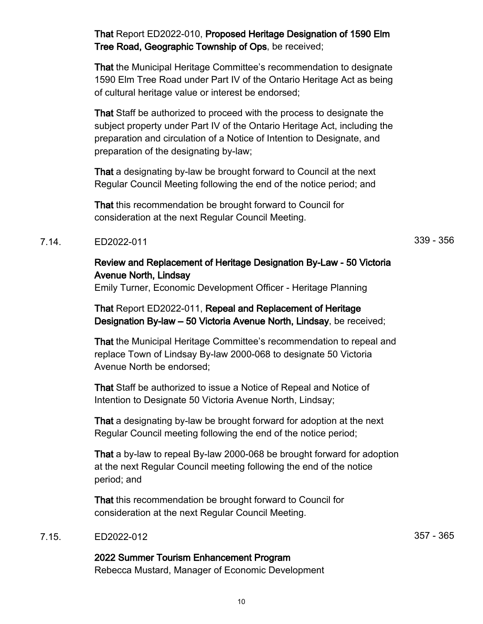That Report ED2022-010, Proposed Heritage Designation of 1590 Elm Tree Road, Geographic Township of Ops, be received;

That the Municipal Heritage Committee's recommendation to designate 1590 Elm Tree Road under Part IV of the Ontario Heritage Act as being of cultural heritage value or interest be endorsed;

That Staff be authorized to proceed with the process to designate the subject property under Part IV of the Ontario Heritage Act, including the preparation and circulation of a Notice of Intention to Designate, and preparation of the designating by-law;

That a designating by-law be brought forward to Council at the next Regular Council Meeting following the end of the notice period; and

That this recommendation be brought forward to Council for consideration at the next Regular Council Meeting.

#### 7.14. ED2022-011 339 - 356

Review and Replacement of Heritage Designation By-Law - 50 Victoria Avenue North, Lindsay

Emily Turner, Economic Development Officer - Heritage Planning

That Report ED2022-011, Repeal and Replacement of Heritage Designation By-law – 50 Victoria Avenue North, Lindsay, be received;

That the Municipal Heritage Committee's recommendation to repeal and replace Town of Lindsay By-law 2000-068 to designate 50 Victoria Avenue North be endorsed;

That Staff be authorized to issue a Notice of Repeal and Notice of Intention to Designate 50 Victoria Avenue North, Lindsay;

That a designating by-law be brought forward for adoption at the next Regular Council meeting following the end of the notice period;

That a by-law to repeal By-law 2000-068 be brought forward for adoption at the next Regular Council meeting following the end of the notice period; and

That this recommendation be brought forward to Council for consideration at the next Regular Council Meeting.

# 7.15. ED2022-012 357 - 365

# 2022 Summer Tourism Enhancement Program

Rebecca Mustard, Manager of Economic Development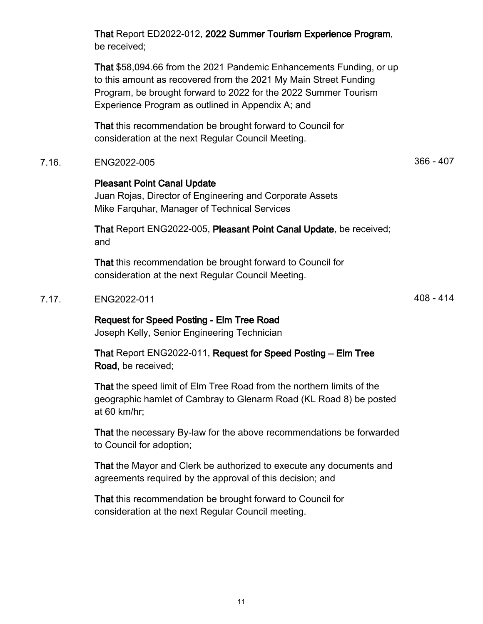That Report ED2022-012, 2022 Summer Tourism Experience Program, be received;

That \$58,094.66 from the 2021 Pandemic Enhancements Funding, or up to this amount as recovered from the 2021 My Main Street Funding Program, be brought forward to 2022 for the 2022 Summer Tourism Experience Program as outlined in Appendix A; and

That this recommendation be brought forward to Council for consideration at the next Regular Council Meeting.

7.16. ENG2022-005 366 - 407

## Pleasant Point Canal Update

Juan Rojas, Director of Engineering and Corporate Assets Mike Farquhar, Manager of Technical Services

That Report ENG2022-005, Pleasant Point Canal Update, be received; and

That this recommendation be brought forward to Council for consideration at the next Regular Council Meeting.

## 7.17. ENG2022-011 408 - 414

# Request for Speed Posting - Elm Tree Road

Joseph Kelly, Senior Engineering Technician

That Report ENG2022-011, Request for Speed Posting – Elm Tree Road, be received;

That the speed limit of Elm Tree Road from the northern limits of the geographic hamlet of Cambray to Glenarm Road (KL Road 8) be posted at 60 km/hr;

That the necessary By-law for the above recommendations be forwarded to Council for adoption;

That the Mayor and Clerk be authorized to execute any documents and agreements required by the approval of this decision; and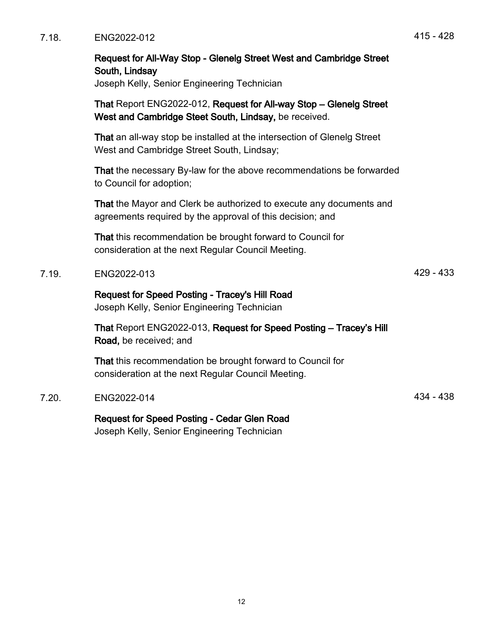|       | Request for All-Way Stop - Glenelg Street West and Cambridge Street<br>South, Lindsay<br>Joseph Kelly, Senior Engineering Technician |             |
|-------|--------------------------------------------------------------------------------------------------------------------------------------|-------------|
|       | That Report ENG2022-012, Request for All-way Stop - Glenelg Street<br>West and Cambridge Steet South, Lindsay, be received.          |             |
|       | That an all-way stop be installed at the intersection of Glenelg Street<br>West and Cambridge Street South, Lindsay;                 |             |
|       | That the necessary By-law for the above recommendations be forwarded<br>to Council for adoption;                                     |             |
|       | That the Mayor and Clerk be authorized to execute any documents and<br>agreements required by the approval of this decision; and     |             |
|       | That this recommendation be brought forward to Council for<br>consideration at the next Regular Council Meeting.                     |             |
| 7.19. | ENG2022-013                                                                                                                          | $429 - 433$ |
|       | Request for Speed Posting - Tracey's Hill Road<br>Joseph Kelly, Senior Engineering Technician                                        |             |
|       | That Report ENG2022-013, Request for Speed Posting - Tracey's Hill<br>Road, be received; and                                         |             |
|       | That this recommendation be brought forward to Council for<br>consideration at the next Regular Council Meeting.                     |             |
| 7.20. | ENG2022-014                                                                                                                          | 434 - 438   |
|       | <b>Request for Speed Posting - Cedar Glen Road</b>                                                                                   |             |

Joseph Kelly, Senior Engineering Technician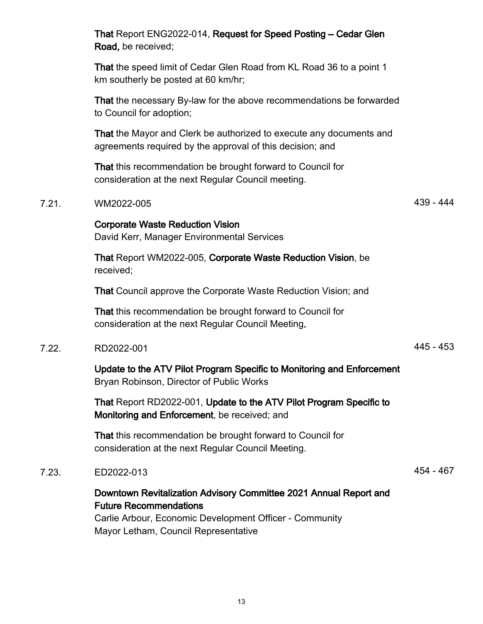|       | That Report ENG2022-014, Request for Speed Posting – Cedar Glen<br>Road, be received;                                                                         |             |
|-------|---------------------------------------------------------------------------------------------------------------------------------------------------------------|-------------|
|       | That the speed limit of Cedar Glen Road from KL Road 36 to a point 1<br>km southerly be posted at 60 km/hr;                                                   |             |
|       | That the necessary By-law for the above recommendations be forwarded<br>to Council for adoption;                                                              |             |
|       | That the Mayor and Clerk be authorized to execute any documents and<br>agreements required by the approval of this decision; and                              |             |
|       | That this recommendation be brought forward to Council for<br>consideration at the next Regular Council meeting.                                              |             |
| 7.21. | WM2022-005                                                                                                                                                    | 439 - 444   |
|       | <b>Corporate Waste Reduction Vision</b><br>David Kerr, Manager Environmental Services                                                                         |             |
|       | That Report WM2022-005, Corporate Waste Reduction Vision, be<br>received;                                                                                     |             |
|       | That Council approve the Corporate Waste Reduction Vision; and                                                                                                |             |
|       | That this recommendation be brought forward to Council for<br>consideration at the next Regular Council Meeting.                                              |             |
| 7.22. | RD2022-001                                                                                                                                                    | $445 - 453$ |
|       | Update to the ATV Pilot Program Specific to Monitoring and Enforcement<br>Bryan Robinson, Director of Public Works                                            |             |
|       | That Report RD2022-001, Update to the ATV Pilot Program Specific to<br>Monitoring and Enforcement, be received; and                                           |             |
|       | That this recommendation be brought forward to Council for<br>consideration at the next Regular Council Meeting.                                              |             |
| 7.23. | ED2022-013                                                                                                                                                    | 454 - 467   |
|       | Downtown Revitalization Advisory Committee 2021 Annual Report and<br><b>Future Recommendations</b><br>Carlie Arbour, Economic Development Officer - Community |             |

Mayor Letham, Council Representative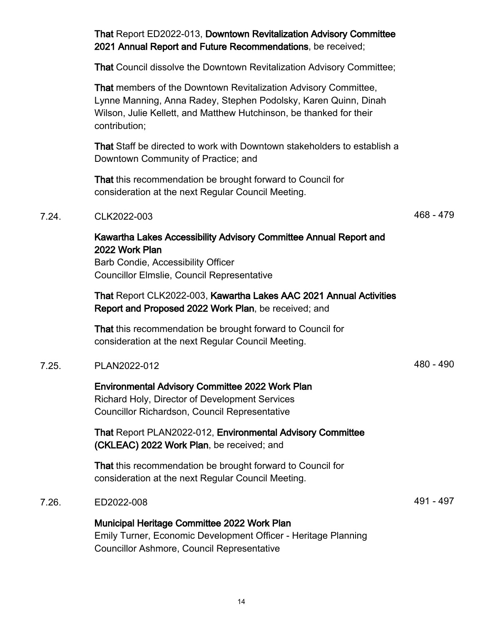# That Report ED2022-013, Downtown Revitalization Advisory Committee 2021 Annual Report and Future Recommendations, be received; That Council dissolve the Downtown Revitalization Advisory Committee;

That members of the Downtown Revitalization Advisory Committee, Lynne Manning, Anna Radey, Stephen Podolsky, Karen Quinn, Dinah Wilson, Julie Kellett, and Matthew Hutchinson, be thanked for their contribution;

That Staff be directed to work with Downtown stakeholders to establish a Downtown Community of Practice; and

That this recommendation be brought forward to Council for consideration at the next Regular Council Meeting.

# 7.24. CLK2022-003 468 - 479

# Kawartha Lakes Accessibility Advisory Committee Annual Report and 2022 Work Plan

Barb Condie, Accessibility Officer Councillor Elmslie, Council Representative

That Report CLK2022-003, Kawartha Lakes AAC 2021 Annual Activities Report and Proposed 2022 Work Plan, be received; and

That this recommendation be brought forward to Council for consideration at the next Regular Council Meeting.

# 7.25. PLAN2022-012 480 - 490

Environmental Advisory Committee 2022 Work Plan Richard Holy, Director of Development Services Councillor Richardson, Council Representative

That Report PLAN2022-012, Environmental Advisory Committee (CKLEAC) 2022 Work Plan, be received; and

That this recommendation be brought forward to Council for consideration at the next Regular Council Meeting.

## 7.26. ED2022-008 491 - 497

#### Municipal Heritage Committee 2022 Work Plan Emily Turner, Economic Development Officer - Heritage Planning Councillor Ashmore, Council Representative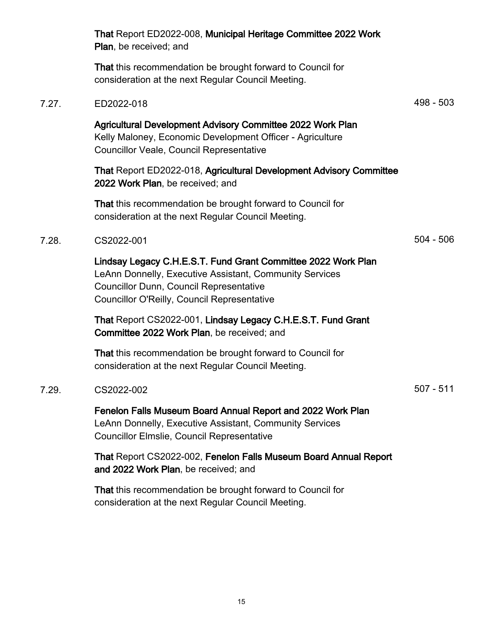|       | That Report ED2022-008, Municipal Heritage Committee 2022 Work<br>Plan, be received; and                                                                                                                                         |             |
|-------|----------------------------------------------------------------------------------------------------------------------------------------------------------------------------------------------------------------------------------|-------------|
|       | That this recommendation be brought forward to Council for<br>consideration at the next Regular Council Meeting.                                                                                                                 |             |
| 7.27. | ED2022-018                                                                                                                                                                                                                       | 498 - 503   |
|       | Agricultural Development Advisory Committee 2022 Work Plan<br>Kelly Maloney, Economic Development Officer - Agriculture<br><b>Councillor Veale, Council Representative</b>                                                       |             |
|       | That Report ED2022-018, Agricultural Development Advisory Committee<br>2022 Work Plan, be received; and                                                                                                                          |             |
|       | That this recommendation be brought forward to Council for<br>consideration at the next Regular Council Meeting.                                                                                                                 |             |
| 7.28. | CS2022-001                                                                                                                                                                                                                       | $504 - 506$ |
|       | Lindsay Legacy C.H.E.S.T. Fund Grant Committee 2022 Work Plan<br>LeAnn Donnelly, Executive Assistant, Community Services<br><b>Councillor Dunn, Council Representative</b><br><b>Councillor O'Reilly, Council Representative</b> |             |
|       | That Report CS2022-001, Lindsay Legacy C.H.E.S.T. Fund Grant<br>Committee 2022 Work Plan, be received; and                                                                                                                       |             |
|       | That this recommendation be brought forward to Council for<br>consideration at the next Regular Council Meeting.                                                                                                                 |             |
| 7.29. | CS2022-002                                                                                                                                                                                                                       | $507 - 511$ |
|       | Fenelon Falls Museum Board Annual Report and 2022 Work Plan<br>LeAnn Donnelly, Executive Assistant, Community Services<br><b>Councillor Elmslie, Council Representative</b>                                                      |             |
|       | That Report CS2022-002, Fenelon Falls Museum Board Annual Report<br>and 2022 Work Plan, be received; and                                                                                                                         |             |
|       |                                                                                                                                                                                                                                  |             |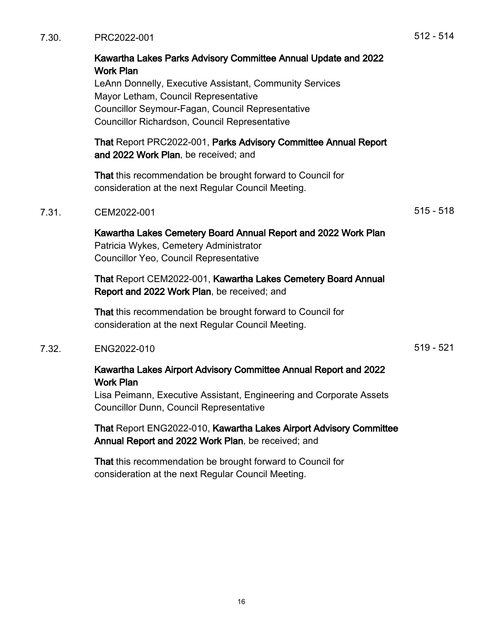# Kawartha Lakes Parks Advisory Committee Annual Update and 2022 Work Plan

LeAnn Donnelly, Executive Assistant, Community Services Mayor Letham, Council Representative Councillor Seymour-Fagan, Council Representative Councillor Richardson, Council Representative

That Report PRC2022-001, Parks Advisory Committee Annual Report and 2022 Work Plan, be received; and

That this recommendation be brought forward to Council for consideration at the next Regular Council Meeting.

#### 7.31. CEM2022-001 515 - 518

Kawartha Lakes Cemetery Board Annual Report and 2022 Work Plan Patricia Wykes, Cemetery Administrator Councillor Yeo, Council Representative

That Report CEM2022-001, Kawartha Lakes Cemetery Board Annual Report and 2022 Work Plan, be received; and

That this recommendation be brought forward to Council for consideration at the next Regular Council Meeting.

#### 7.32. ENG2022-010 519 - 521

Kawartha Lakes Airport Advisory Committee Annual Report and 2022 Work Plan

Lisa Peimann, Executive Assistant, Engineering and Corporate Assets Councillor Dunn, Council Representative

## That Report ENG2022-010, Kawartha Lakes Airport Advisory Committee Annual Report and 2022 Work Plan, be received; and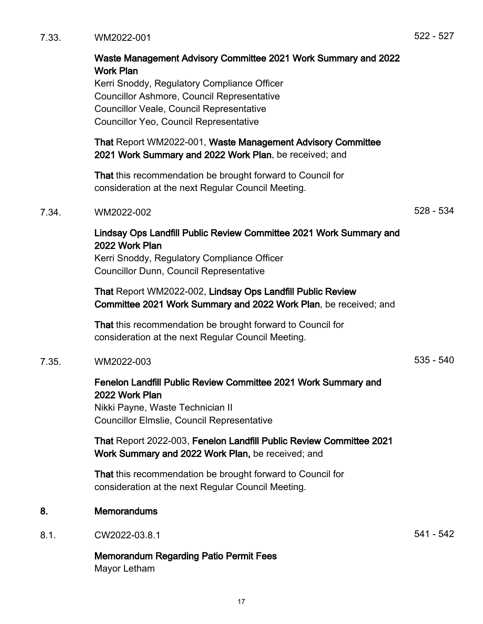|       | <b>Councillor Ashmore, Council Representative</b><br><b>Councillor Veale, Council Representative</b><br>Councillor Yeo, Council Representative                                        |             |
|-------|---------------------------------------------------------------------------------------------------------------------------------------------------------------------------------------|-------------|
|       | That Report WM2022-001, Waste Management Advisory Committee<br>2021 Work Summary and 2022 Work Plan, be received; and                                                                 |             |
|       | That this recommendation be brought forward to Council for<br>consideration at the next Regular Council Meeting.                                                                      |             |
| 7.34. | WM2022-002                                                                                                                                                                            | 528 - 534   |
|       | Lindsay Ops Landfill Public Review Committee 2021 Work Summary and<br>2022 Work Plan<br>Kerri Snoddy, Regulatory Compliance Officer<br><b>Councillor Dunn, Council Representative</b> |             |
|       | That Report WM2022-002, Lindsay Ops Landfill Public Review<br>Committee 2021 Work Summary and 2022 Work Plan, be received; and                                                        |             |
|       | That this recommendation be brought forward to Council for<br>consideration at the next Regular Council Meeting.                                                                      |             |
| 7.35. | WM2022-003                                                                                                                                                                            | $535 - 540$ |
|       | Fenelon Landfill Public Review Committee 2021 Work Summary and<br>2022 Work Plan<br>Nikki Payne, Waste Technician II                                                                  |             |

Kerri Snoddy, Regulatory Compliance Officer

Waste Management Advisory Committee 2021 Work Summary and 2022

That Report 2022-003, Fenelon Landfill Public Review Committee 2021 Work Summary and 2022 Work Plan, be received; and

That this recommendation be brought forward to Council for consideration at the next Regular Council Meeting.

- 8. Memorandums
- 8.1. CW2022-03.8.1 541 542

Memorandum Regarding Patio Permit Fees Mayor Letham

Councillor Elmslie, Council Representative

Work Plan